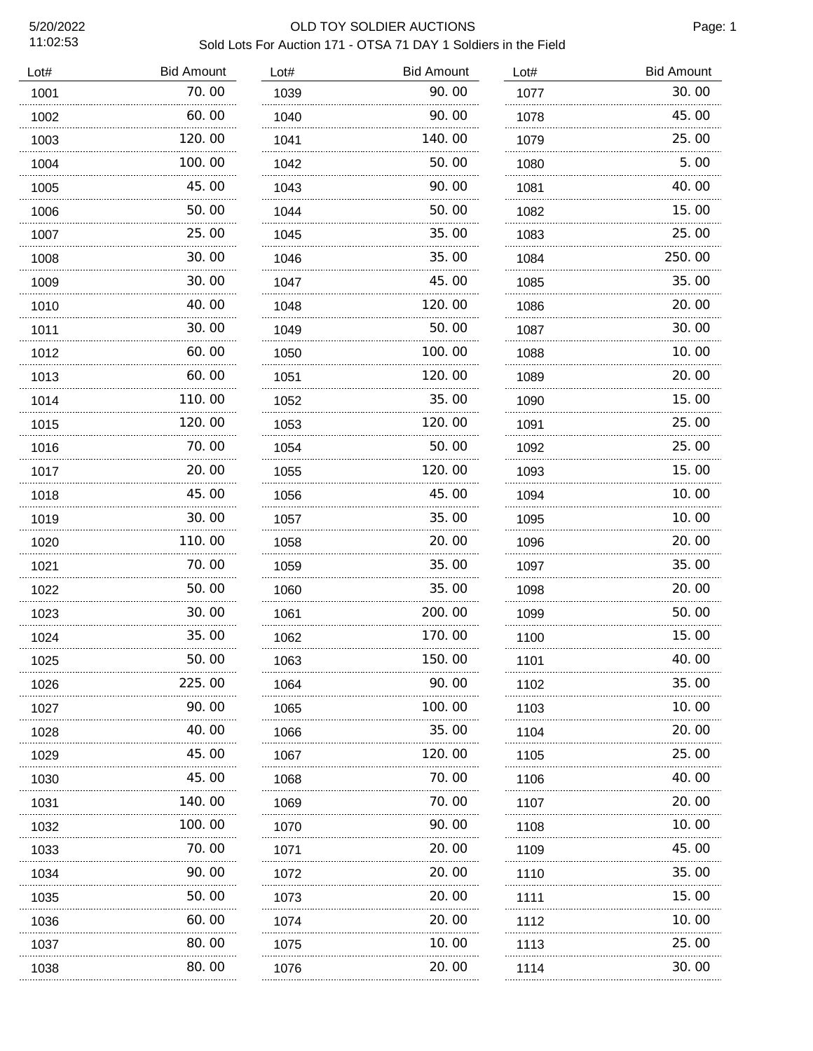11:02:53

# 5/20/2022 OLD TOY SOLDIER AUCTIONS Sold Lots For Auction 171 - OTSA 71 DAY 1 Soldiers in the Field

| Lot# | <b>Bid Amount</b> | Lot# | <b>Bid Amount</b> | Lot# | <b>Bid Amount</b> |
|------|-------------------|------|-------------------|------|-------------------|
| 1001 | 70.00             | 1039 | 90.00             | 1077 | 30.00             |
| 1002 | 60.00             | 1040 | 90.00             | 1078 | 45.00             |
| 1003 | 120.00            | 1041 | 140.00            | 1079 | 25.00             |
| 1004 | 100.00            | 1042 | 50.00             | 1080 | 5.00              |
| 1005 | 45.00             | 1043 | 90.00             | 1081 | 40.00             |
| 1006 | 50.00             | 1044 | 50.00             | 1082 | 15.00             |
| 1007 | 25.00             | 1045 | 35.00             | 1083 | 25.00             |
| 1008 | 30.00             | 1046 | 35.00             | 1084 | 250.00            |
| 1009 | 30.00             | 1047 | 45.00             | 1085 | 35.00             |
| 1010 | 40.00             | 1048 | 120.00            | 1086 | 20.00             |
| 1011 | 30.00             | 1049 | 50.00             | 1087 | 30.00             |
| 1012 | 60.00             | 1050 | 100. 00           | 1088 | 10.00             |
| 1013 | 60.00             | 1051 | 120. 00           | 1089 | 20.00             |
| 1014 | 110. 00           | 1052 | 35. OO            | 1090 | 15.00             |
| 1015 | 120.00            | 1053 | 120. 00           | 1091 | 25.00             |
| 1016 | 70.00             | 1054 | 50. 00            | 1092 | 25.00             |
| 1017 | 20.00             | 1055 | 120. 00           | 1093 | 15.00             |
| 1018 | 45.00             | 1056 | 45. OO            | 1094 | 10.00             |
| 1019 | 30.00             | 1057 | 35.00             | 1095 | 10.00             |
| 1020 | 110.00            | 1058 | 20.00             | 1096 | 20.00             |
| 1021 | 70.00             | 1059 | 35.00             | 1097 | 35.00             |
| 1022 | 50.00             | 1060 | 35.00             | 1098 | 20.00             |
| 1023 | 30.00             | 1061 | 200.00            | 1099 | 50.00             |
| 1024 | 35.00             | 1062 | 170.00            | 1100 | 15.00             |
| 1025 | 50.00             | 1063 | 150.00            | 1101 | 40.00             |
| 1026 | 225.00            | 1064 | 90. OO            | 1102 | 35.00             |
| 1027 | 90.00             | 1065 | 100.00            | 1103 | 10.00             |
| 1028 | 40.00             | 1066 | 35.00             | 1104 | 20.00             |
| 1029 | 45.00             | 1067 | 120.00            | 1105 | 25.00             |
| 1030 | 45.00             | 1068 | 70. 00            | 1106 | 40.00             |
| 1031 | 140.00            | 1069 | 70.00             | 1107 | 20.00             |
| 1032 | 100.00            | 1070 | 90. OO            | 1108 | 10.00             |
| 1033 | 70.00             | 1071 | 20. 00            | 1109 | 45.00             |
| 1034 | 90.00             | 1072 | 20.00             | 1110 | 35.00             |
| 1035 | 50.00             | 1073 | 20.00             | 1111 | 15.00             |
| 1036 | 60.00             | 1074 | 20.00             | 1112 | 10.00             |
| 1037 | 80.00             | 1075 | 10. 00            | 1113 | 25.00             |
| 1038 | 80.00             | 1076 | 20.00             | 1114 | 30.00             |
|      |                   |      |                   |      |                   |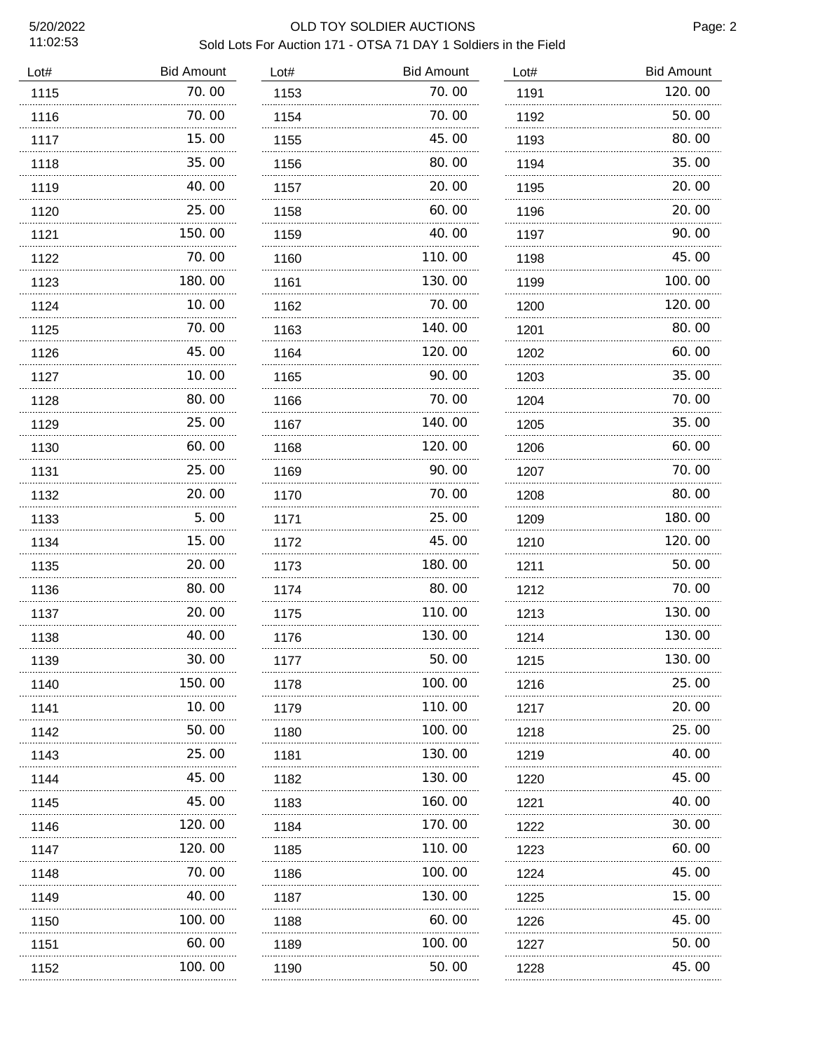11:02:53

### 5/20/2022 OLD TOY SOLDIER AUCTIONS Sold Lots For Auction 171 - OTSA 71 DAY 1 Soldiers in the Field

| Lot# | <b>Bid Amount</b> | Lot# | <b>Bid Amount</b> | Lot# | <b>Bid Amount</b> |
|------|-------------------|------|-------------------|------|-------------------|
| 1115 | 70.00             | 1153 | 70.00             | 1191 | 120.00            |
| 1116 | 70.00             | 1154 | 70.00             | 1192 | 50.00             |
| 1117 | 15.00             | 1155 | 45.00             | 1193 | 80.00             |
| 1118 | 35.00             | 1156 | 80.00             | 1194 | 35.00             |
| 1119 | 40.00             | 1157 | 20.00             | 1195 | 20.00             |
| 1120 | 25.00             | 1158 | 60.00             | 1196 | 20.00             |
| 1121 | 150.00            | 1159 | 40.00             | 1197 | 90.00             |
| 1122 | 70.00             | 1160 | 110.00            | 1198 | 45.00             |
| 1123 | 180.00            | 1161 | 130.00            | 1199 | 100.00            |
| 1124 | 10.00             | 1162 | 70.00             | 1200 | 120.00            |
| 1125 | 70.00             | 1163 | 140.00            | 1201 | 80.00             |
| 1126 | 45.00             | 1164 | 120.00            | 1202 | 60.00             |
| 1127 | 10.00             | 1165 | 90.00             | 1203 | 35.00             |
| 1128 | 80.00             | 1166 | 70.00             | 1204 | 70.00             |
| 1129 | 25.00             | 1167 | 140.00            | 1205 | 35.00             |
| 1130 | 60.00             | 1168 | 120.00            | 1206 | 60.00             |
| 1131 | 25.00             | 1169 | 90.00             | 1207 | 70.00             |
| 1132 | 20.00             | 1170 | 70.00             | 1208 | 80.00             |
| 1133 | 5.00              | 1171 | 25.00             | 1209 | 180.00            |
| 1134 | 15.00             | 1172 | 45.00             | 1210 | 120.00            |
| 1135 | 20.00             | 1173 | 180.00            | 1211 | 50.00             |
| 1136 | 80.00             | 1174 | 80.00             | 1212 | 70.00             |
| 1137 | 20.00             | 1175 | 110.00            | 1213 | 130.00            |
| 1138 | 40.00             | 1176 | 130.00            | 1214 | 130.00            |
| 1139 | 30. OO            | 1177 | 50. OO            | 1215 | 130. OO           |
| 1140 | 150.00            | 1178 | 100. 00           | 1216 | 25.00             |
| 1141 | 10.00             | 1179 | 110.00            | 1217 | 20.00             |
| 1142 | 50.00             | 1180 | 100.00            | 1218 | 25.00             |
| 1143 | 25.00             | 1181 | 130.00            | 1219 | 40.00             |
| 1144 | 45.00             | 1182 | 130.00            | 1220 | 45.00             |
| 1145 | 45.00<br>.        | 1183 | 160. 00<br>.      | 1221 | 40. 00            |
| 1146 | 120.00            | 1184 | 170. 00           | 1222 | 30. 00            |
| 1147 | 120. 00<br>.      | 1185 | 110. 00           | 1223 | 60.00             |
| 1148 | 70. 00            | 1186 | 100. 00           | 1224 | 45.00             |
| 1149 | 40.00<br>.        | 1187 | 130. 00           | 1225 | 15.00             |
| 1150 | 100. 00           | 1188 | 60.00             | 1226 | 45.00             |
| 1151 | 60.00             | 1189 | 100.00            | 1227 | 50. 00            |
| 1152 | 100. 00           | 1190 | 50.00             | 1228 | 45.00             |
|      |                   |      |                   |      |                   |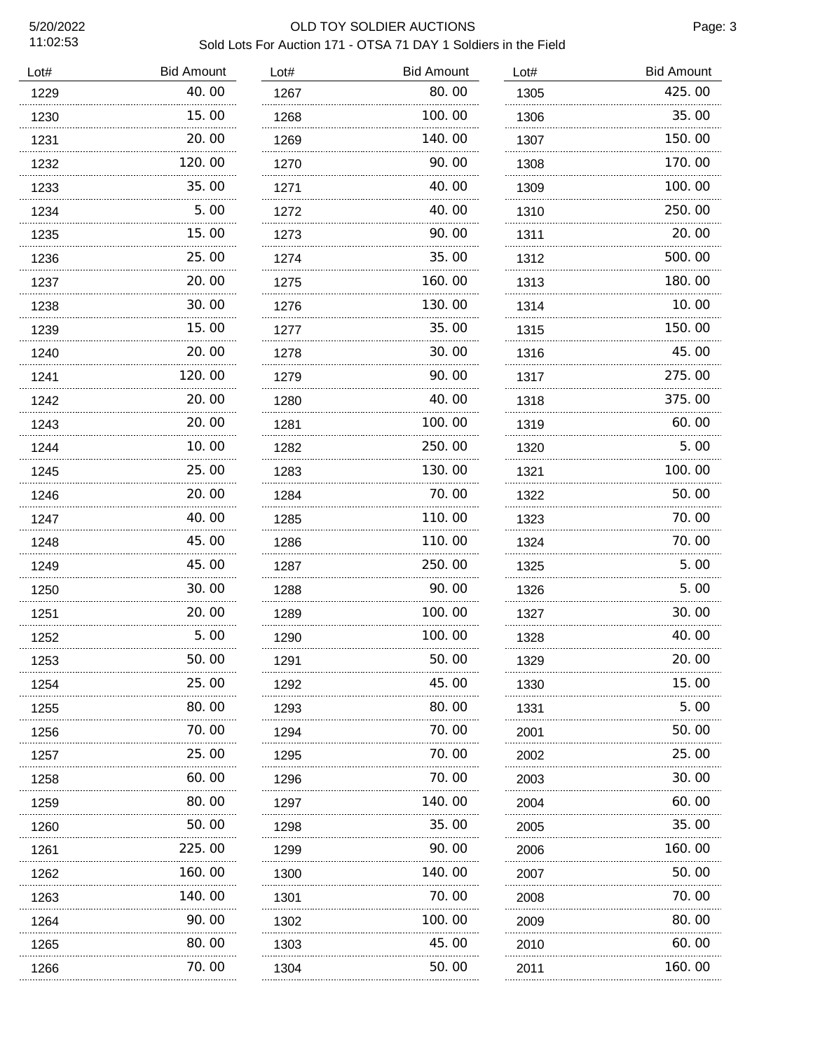11:02:53

### 5/20/2022 OLD TOY SOLDIER AUCTIONS Sold Lots For Auction 171 - OTSA 71 DAY 1 Soldiers in the Field

| Lot# | <b>Bid Amount</b> | Lot# | <b>Bid Amount</b> | Lot# | <b>Bid Amount</b> |
|------|-------------------|------|-------------------|------|-------------------|
| 1229 | 40.00             | 1267 | 80.00             | 1305 | 425.00            |
| 1230 | 15.00             | 1268 | 100.00            | 1306 | 35.00             |
| 1231 | 20.00<br>.        | 1269 | 140.00            | 1307 | 150.00            |
| 1232 | 120.00            | 1270 | 90.00             | 1308 | 170.00            |
| 1233 | 35.00             | 1271 | 40.00             | 1309 | 100.00            |
| 1234 | 5.00              | 1272 | 40.00             | 1310 | 250.00            |
| 1235 | 15.00             | 1273 | 90.00             | 1311 | 20.00             |
| 1236 | 25.00             | 1274 | 35.00             | 1312 | 500.00            |
| 1237 | 20.00             | 1275 | 160.00            | 1313 | 180.00            |
| 1238 | 30.00             | 1276 | 130.00            | 1314 | 10.00             |
| 1239 | 15.00             | 1277 | 35.00             | 1315 | 150.00            |
| 1240 | 20.00             | 1278 | 30.00             | 1316 | 45.00             |
| 1241 | 120.00            | 1279 | 90.00             | 1317 | 275.00            |
| 1242 | 20.00             | 1280 | 40. 00            | 1318 | 375.00            |
| 1243 | 20.00             | 1281 | 100.00            | 1319 | 60.00             |
| 1244 | 10.00             | 1282 | 250.00            | 1320 | 5.00              |
| 1245 | 25.00             | 1283 | 130.00            | 1321 | 100.00            |
| 1246 | 20.00             | 1284 | 70.00             | 1322 | 50.00             |
| 1247 | 40.00             | 1285 | 110.00            | 1323 | 70.00             |
| 1248 | 45.00             | 1286 | 110.00            | 1324 | 70.00             |
| 1249 | 45.00             | 1287 | 250.00            | 1325 | 5.00              |
| 1250 | 30.00             | 1288 | 90.00             | 1326 | 5.00              |
| 1251 | 20.00             | 1289 | 100.00            | 1327 | 30.00             |
| 1252 | 5.00              | 1290 | 100.00            | 1328 | 40.00             |
| 1253 | 50.00             | 1291 | 50.00             | 1329 | 20.00             |
| 1254 | 25.00             | 1292 | 45. OO            | 1330 | 15.00             |
| 1255 | 80.00             | 1293 | 80. 00            | 1331 | 5.00              |
| 1256 | 70.00             | 1294 | 70. 00            | 2001 | 50.00             |
| 1257 | 25.00             | 1295 | 70. 00            | 2002 | 25.00             |
| 1258 | 60.00             | 1296 | 70.00             | 2003 | 30.00             |
| 1259 | 80.00             | 1297 | 140. 00           | 2004 | 60.00             |
| 1260 | 50.00             | 1298 | 35.00             | 2005 | 35.00             |
| 1261 | 225.00            | 1299 | 90. OO            | 2006 | 160.00            |
| 1262 | .<br>160.00       | 1300 | 140.00            | 2007 | 50.00             |
| 1263 | 140. 00           | 1301 | 70. 00            | 2008 | 70.00             |
| 1264 | .<br>90.00        | 1302 | 100. 00           | 2009 | 80.00             |
| 1265 | 80.00             | 1303 | 45.00             | 2010 | 60.00             |
| 1266 | .<br>70.00        | 1304 | .<br>50.00        | 2011 | 160.00            |
|      |                   |      |                   |      |                   |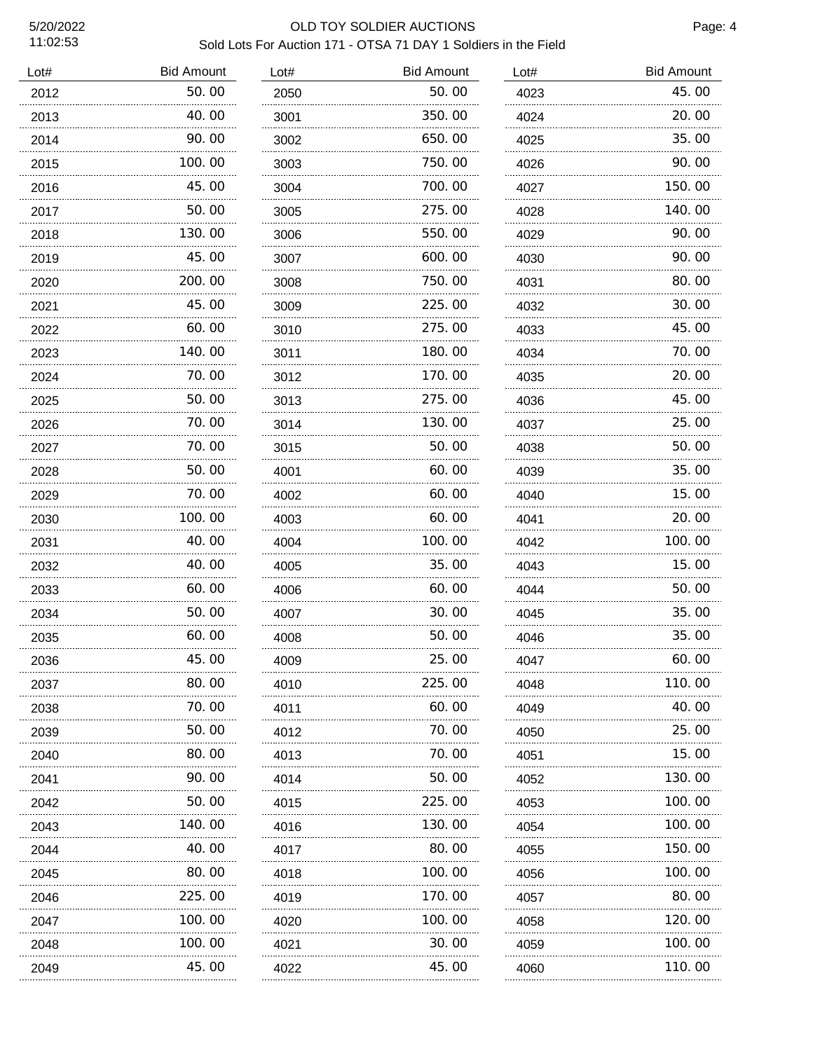| Lot# | <b>Bid Amount</b> | Lot# | <b>Bid Amount</b> | Lot# | <b>Bid Amount</b> |
|------|-------------------|------|-------------------|------|-------------------|
| 2012 | 50.00             | 2050 | 50.00             | 4023 | 45.00             |
| 2013 | 40.00             | 3001 | 350.00            | 4024 | 20.00             |
| 2014 | 90.00<br>.        | 3002 | 650.00            | 4025 | 35.00             |
| 2015 | 100.00            | 3003 | 750.00            | 4026 | 90.00             |
| 2016 | 45.00             | 3004 | 700.00            | 4027 | 150.00            |
| 2017 | 50.00             | 3005 | 275.00            | 4028 | 140.00            |
| 2018 | 130.00            | 3006 | 550.00            | 4029 | 90.00             |
| 2019 | 45.00             | 3007 | 600.00            | 4030 | 90.00             |
| 2020 | 200.00            | 3008 | 750.00            | 4031 | 80.00             |
| 2021 | 45.00             | 3009 | 225.00            | 4032 | 30.00             |
| 2022 | 60.00             | 3010 | 275.00            | 4033 | 45.00             |
| 2023 | 140.00            | 3011 | 180.00            | 4034 | 70.00             |
| 2024 | 70.00             | 3012 | 170.00            | 4035 | 20.00             |
| 2025 | 50.00             | 3013 | 275.00            | 4036 | 45.00             |
| 2026 | 70.00             | 3014 | 130.00            | 4037 | 25.00             |
| 2027 | 70.00             | 3015 | 50.00             | 4038 | 50.00             |
| 2028 | 50.00             | 4001 | 60.00             | 4039 | 35.00             |
| 2029 | 70.00             | 4002 | 60.00             | 4040 | 15.00             |
| 2030 | 100.00            | 4003 | 60.00             | 4041 | 20.00             |
| 2031 | 40.00             | 4004 | 100.00            | 4042 | 100.00            |
| 2032 | 40.00             | 4005 | 35.00             | 4043 | 15.00             |
| 2033 | 60.00             | 4006 | 60.00             | 4044 | 50.00             |
| 2034 | 50.00             | 4007 | 30.00             | 4045 | 35.00             |
| 2035 | 60.00             | 4008 | 50.00             | 4046 | 35.00             |
| 2036 | 45.00             | 4009 | 25.00             | 4047 | 60.00             |
| 2037 | 80.00             | 4010 | 225.00            | 4048 | 110. 00           |
| 2038 | 70. 00            | 4011 | 60. 00            | 4049 | 40.00             |
| 2039 | 50.00             | 4012 | 70.00             | 4050 | 25.00             |
| 2040 | 80.00             | 4013 | 70.00             | 4051 | 15.00             |
| 2041 | 90.00             | 4014 | 50.00             | 4052 | 130.00            |
| 2042 | 50.00             | 4015 | 225.00            | 4053 | 100.00            |
| 2043 | 140.00            | 4016 | 130.00            | 4054 | 100.00            |
| 2044 | 40.00             | 4017 | 80.00             | 4055 | 150.00            |
| 2045 | 80.00             | 4018 | 100.00            | 4056 | 100.00            |
| 2046 | 225.00<br>.       | 4019 | 170.00<br>.       | 4057 | 80.00             |
| 2047 | 100.00            | 4020 | 100.00            | 4058 | 120.00            |
| 2048 | 100. 00<br>.      | 4021 | 30.00<br>.        | 4059 | 100.00            |
| 2049 | 45.00             | 4022 | 45.00             | 4060 | 110.00            |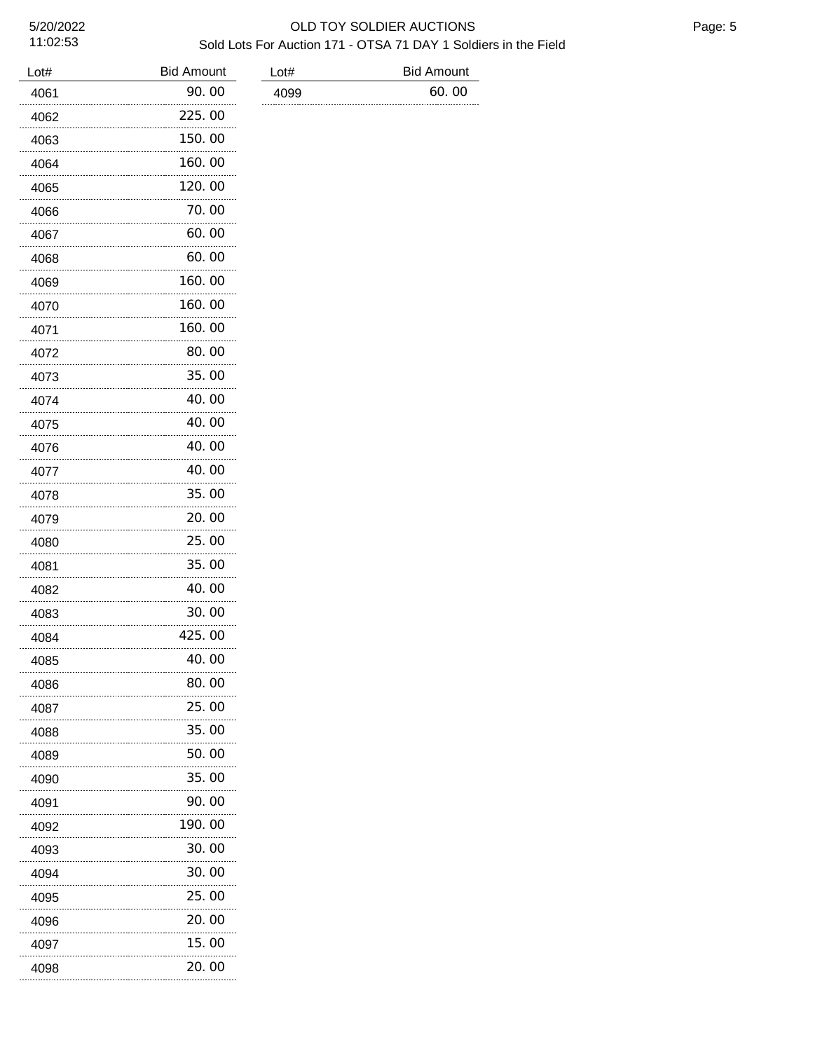**Bid Amount** 

|--|

| Lot# | <b>Bid Amount</b> | Lot# | <b>Bid Amount</b> |
|------|-------------------|------|-------------------|
| 4061 | 90.00             | 4099 | 60.00             |
| 4062 | 225.00            |      |                   |
| 4063 | 150.00            |      |                   |
| 4064 | 160.00            |      |                   |
| 4065 | 120.00            |      |                   |
| 4066 | 70. 00            |      |                   |
| 4067 | 60.00             |      |                   |
| 4068 | 60.00             |      |                   |
| 4069 | 160.00            |      |                   |
| 4070 | 160.00            |      |                   |
| 4071 | 160.00            |      |                   |
| 4072 | 80.00             |      |                   |
| 4073 | 35.00             |      |                   |
| 4074 | 40.00             |      |                   |
| 4075 | 40.00             |      |                   |
| 4076 | 40.00             |      |                   |
| 4077 | 40.00             |      |                   |
| 4078 | 35.00             |      |                   |
| 4079 | 20.00             |      |                   |
| 4080 | 25.00             |      |                   |
| 4081 | 35.00             |      |                   |
| 4082 | 40.00             |      |                   |
| 4083 | 30.00             |      |                   |
| 4084 | 425.00            |      |                   |
| 4085 | 40.00             |      |                   |
| 4086 | 80.00             |      |                   |
| 4087 | 25.00             |      |                   |
| 4088 | 35.00             |      |                   |
| 4089 | 50.00             |      |                   |
| 4090 | 35.00             |      |                   |
| 4091 | 90.00             |      |                   |
| 4092 | 190.00            |      |                   |
| 4093 | 30.00             |      |                   |
| 4094 | 30.00             |      |                   |
| 4095 | 25.00             |      |                   |
| 4096 | 20.00             |      |                   |
| 4097 | 15.00             |      |                   |
| 4098 | 20.00             |      |                   |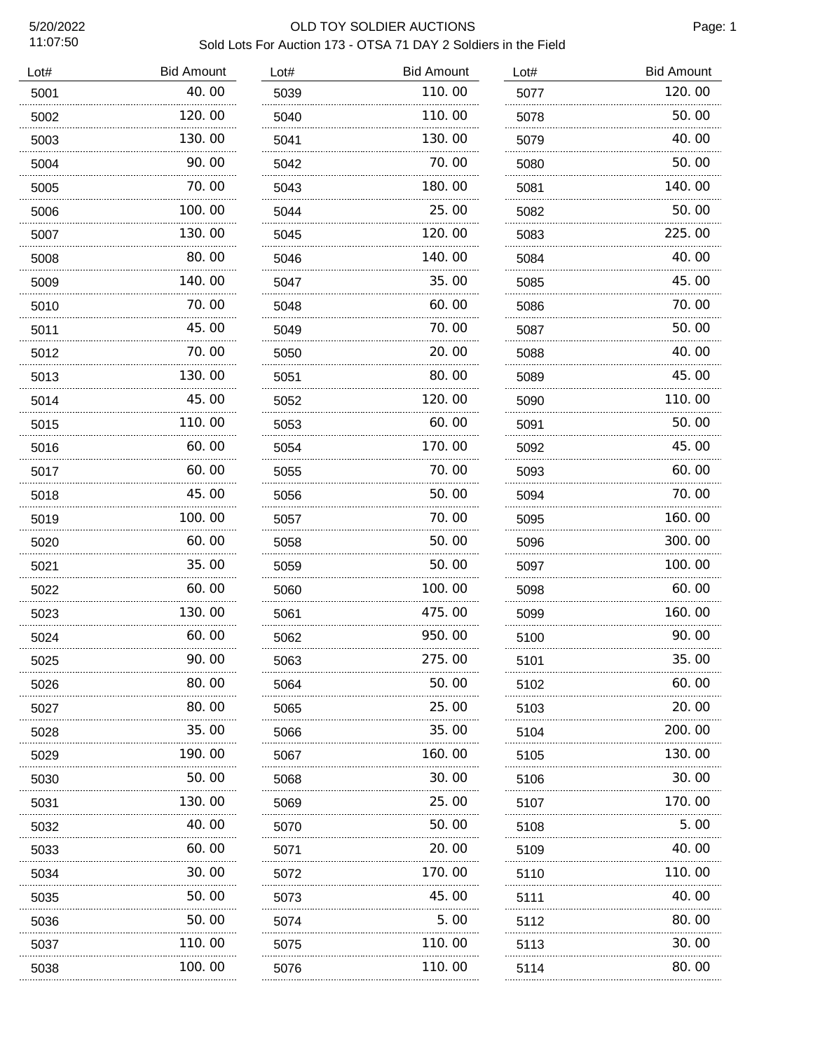| Lot# | <b>Bid Amount</b> | Lot# | <b>Bid Amount</b> | Lot# | <b>Bid Amount</b> |
|------|-------------------|------|-------------------|------|-------------------|
| 5001 | 40.00             | 5039 | 110.00            | 5077 | 120.00            |
| 5002 | 120.00            | 5040 | 110.00            | 5078 | 50.00             |
| 5003 | 130.00            | 5041 | 130.00            | 5079 | 40.00             |
| 5004 | 90.00             | 5042 | 70.00             | 5080 | 50.00             |
| 5005 | 70.00             | 5043 | 180.00            | 5081 | 140.00            |
| 5006 | 100.00            | 5044 | 25.00             | 5082 | 50.00             |
| 5007 | 130.00            | 5045 | 120.00            | 5083 | 225.00            |
| 5008 | 80.00             | 5046 | 140.00            | 5084 | 40.00             |
| 5009 | 140.00<br>.       | 5047 | 35.00             | 5085 | 45.00             |
| 5010 | 70.00             | 5048 | 60.00             | 5086 | 70.00             |
| 5011 | 45.00             | 5049 | 70.00             | 5087 | 50.00             |
| 5012 | 70.00             | 5050 | 20.00             | 5088 | 40.00             |
| 5013 | 130.00            | 5051 | 80.00             | 5089 | 45.00             |
| 5014 | 45.00             | 5052 | 120.00            | 5090 | 110.00            |
| 5015 | 110.00            | 5053 | 60.00             | 5091 | 50.00             |
| 5016 | 60.00             | 5054 | 170.00            | 5092 | 45.00             |
| 5017 | 60.00             | 5055 | 70.00             | 5093 | 60.00             |
| 5018 | 45.00             | 5056 | 50.00             | 5094 | 70.00             |
| 5019 | 100.00            | 5057 | 70.00             | 5095 | 160.00            |
| 5020 | 60.00             | 5058 | 50.00             | 5096 | 300.00            |
| 5021 | 35.00             | 5059 | 50.00             | 5097 | 100.00            |
| 5022 | 60.00             | 5060 | 100.00            | 5098 | 60.00             |
| 5023 | 130.00            | 5061 | 475.00            | 5099 | 160.00            |
| 5024 | 60.00             | 5062 | 950.00            | 5100 | 90.00             |
| 5025 | 90.00             | 5063 | 275.00            | 5101 | 35.00             |
| 5026 | 80.00             | 5064 | 50.00             | 5102 | 60.00             |
| 5027 | 80.00             | 5065 | 25.00             | 5103 | 20.00             |
| 5028 | 35.00             | 5066 | 35.00             | 5104 | 200.00            |
| 5029 | 190. 00           | 5067 | 160.00            | 5105 | 130. 00           |
| 5030 | 50.00             | 5068 | 30.00             | 5106 | 30. 00            |
| 5031 | 130. 00           | 5069 | 25.00             | 5107 | 170. 00           |
| 5032 | 40.00             | 5070 | 50.00             | 5108 | 5. 00             |
| 5033 | 60.00             | 5071 | 20. 00            | 5109 | 40. OO            |
| 5034 | 30.00             | 5072 | 170.00            | 5110 | 110.00            |
| 5035 | 50.00             | 5073 | 45.00             | 5111 | 40.00             |
| 5036 | 50.00             | 5074 | 5.00              | 5112 | 80.00             |
| 5037 | 110.00            | 5075 | 110.00            | 5113 | 30.00             |
| 5038 | 100.00            | 5076 | 110.00            | 5114 | 80.00             |
|      |                   |      |                   |      |                   |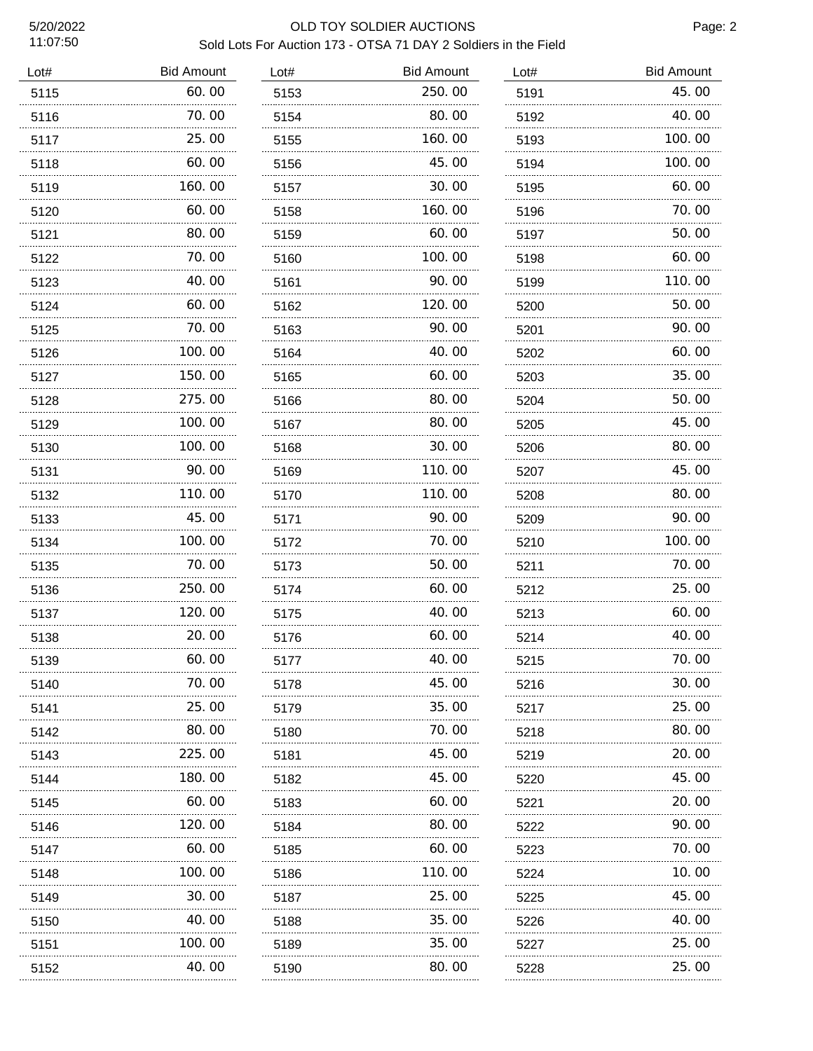11:07:50

| Lot# | <b>Bid Amount</b> | Lot# | <b>Bid Amount</b> | Lot# | <b>Bid Amount</b> |
|------|-------------------|------|-------------------|------|-------------------|
| 5115 | 60.00             | 5153 | 250.00            | 5191 | 45.00             |
| 5116 | 70.00             | 5154 | 80.00             | 5192 | 40.00             |
| 5117 | 25.00             | 5155 | 160.00            | 5193 | 100.00            |
| 5118 | 60.00             | 5156 | 45.00             | 5194 | 100.00            |
| 5119 | 160.00            | 5157 | 30.00             | 5195 | 60.00             |
| 5120 | 60.00             | 5158 | 160.00            | 5196 | 70.00             |
| 5121 | 80.00             | 5159 | 60.00             | 5197 | 50.00             |
| 5122 | 70.00             | 5160 | 100.00            | 5198 | 60.00             |
| 5123 | 40.00             | 5161 | 90.00             | 5199 | 110.00            |
| 5124 | 60.00             | 5162 | 120.00            | 5200 | 50.00             |
| 5125 | 70.00             | 5163 | 90.00             | 5201 | 90.00             |
| 5126 | 100.00            | 5164 | 40.00             | 5202 | 60.00             |
| 5127 | 150.00            | 5165 | 60.00             | 5203 | 35.00             |
| 5128 | 275.00            | 5166 | 80.00             | 5204 | 50.00             |
| 5129 | 100.00            | 5167 | 80.00             | 5205 | 45.00             |
| 5130 | 100.00            | 5168 | 30.00             | 5206 | 80.00             |
| 5131 | 90.00             | 5169 | 110.00            | 5207 | 45.00             |
| 5132 | 110.00            | 5170 | 110.00            | 5208 | 80.00             |
| 5133 | 45.00             | 5171 | 90.00             | 5209 | 90.00             |
| 5134 | 100.00            | 5172 | 70.00             | 5210 | 100.00            |
| 5135 | 70.00             | 5173 | 50.00             | 5211 | 70.00             |
| 5136 | 250.00            | 5174 | 60.00             | 5212 | 25.00             |
| 5137 | 120.00            | 5175 | 40.00             | 5213 | 60.00             |
| 5138 | 20.00             | 5176 | 60.00             | 5214 | 40.00             |
| 5139 | 60.00             | 5177 | 40.00             | 5215 | 70.00             |
| 5140 | 70.00             | 5178 | 45.00             | 5216 | 30.00             |
| 5141 | 25.00<br>.        | 5179 | 35.00             | 5217 | 25.00             |
| 5142 | 80.00             | 5180 | 70.00             | 5218 | 80.00             |
| 5143 | 225.00            | 5181 | 45.00             | 5219 | 20.00             |
| 5144 | 180.00            | 5182 | 45.00             | 5220 | 45.00             |
| 5145 | 60.00<br>.        | 5183 | 60.00             | 5221 | 20.00             |
| 5146 | 120.00            | 5184 | 80.00             | 5222 | 90.00             |
| 5147 | 60.00             | 5185 | 60.00             | 5223 | 70.00             |
| 5148 | 100.00            | 5186 | 110.00            | 5224 | 10.00             |
| 5149 | 30.00             | 5187 | 25.00             | 5225 | 45.00             |
| 5150 | 40.00             | 5188 | 35. OO            | 5226 | 40.00             |
| 5151 | 100. 00           | 5189 | 35.00             | 5227 | 25.00             |
| 5152 | 40.00             | 5190 | 80.00             | 5228 | 25.00             |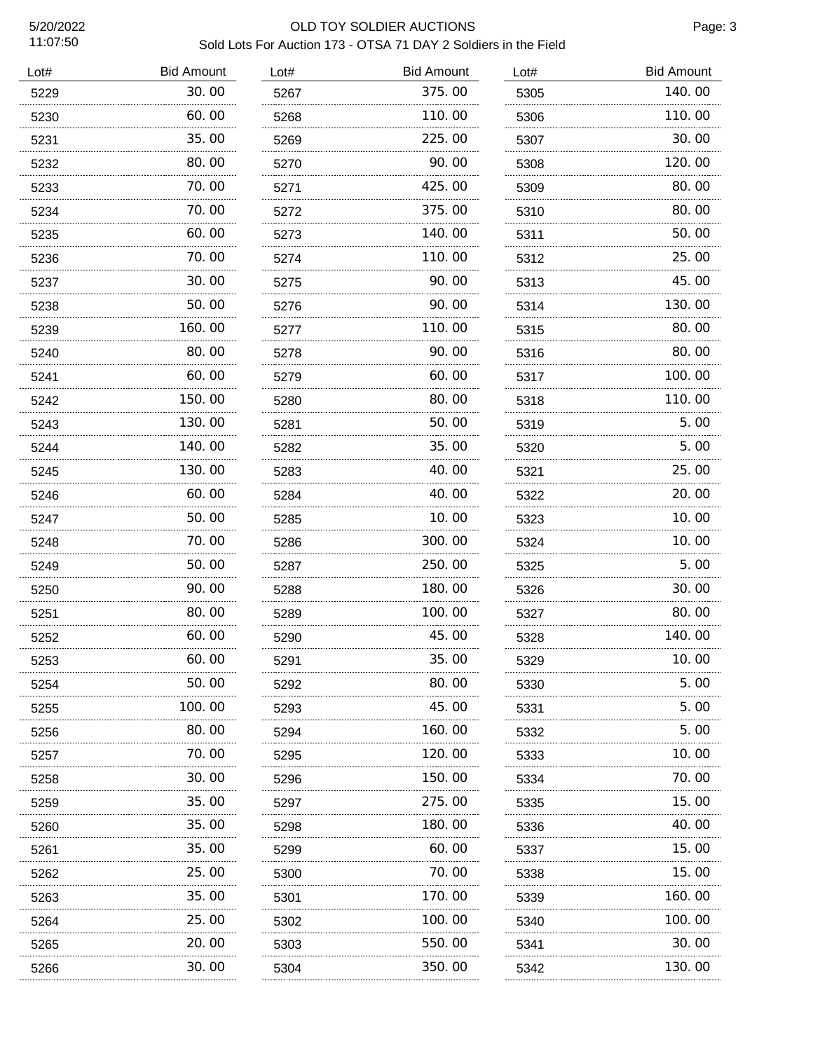| Lot# | <b>Bid Amount</b> | Lot# | <b>Bid Amount</b> | Lot# | <b>Bid Amount</b> |
|------|-------------------|------|-------------------|------|-------------------|
| 5229 | 30.00             | 5267 | 375.00            | 5305 | 140.00            |
| 5230 | 60.00             | 5268 | 110.00            | 5306 | 110.00            |
| 5231 | 35.00             | 5269 | 225,00            | 5307 | 30.00             |
| 5232 | 80.00             | 5270 | 90.00             | 5308 | 120.00            |
| 5233 | 70.00             | 5271 | 425.00            | 5309 | 80.00             |
| 5234 | 70.00             | 5272 | 375,00            | 5310 | 80.00             |
| 5235 | 60.00             | 5273 | 140.00            | 5311 | 50.00             |
| 5236 | 70.00             | 5274 | 110.00            | 5312 | 25.00             |
| 5237 | 30.00             | 5275 | 90.00             | 5313 | 45.00             |
| 5238 | 50.00             | 5276 | 90.00             | 5314 | 130.00            |
| 5239 | 160.00            | 5277 | 110.00            | 5315 | 80.00             |
| 5240 | 80.00             | 5278 | 90.00             | 5316 | 80.00             |
| 5241 | 60.00             | 5279 | 60.00             | 5317 | 100.00            |
| 5242 | 150.00            | 5280 | 80.00             | 5318 | 110.00            |
| 5243 | 130.00            | 5281 | 50.00             | 5319 | 5.00              |
| 5244 | 140.00            | 5282 | 35.00             | 5320 | 5.00              |
| 5245 | 130.00            | 5283 | 40.00             | 5321 | 25.00             |
| 5246 | 60.00             | 5284 | 40.00             | 5322 | 20.00             |
| 5247 | 50.00             | 5285 | 10.00             | 5323 | 10.00             |
| 5248 | 70.00             | 5286 | 300.00            | 5324 | 10.00             |
| 5249 | 50.00             | 5287 | 250.00            | 5325 | 5.00              |
| 5250 | 90.00             | 5288 | 180.00            | 5326 | 30.00             |
| 5251 | 80.00             | 5289 | 100.00            | 5327 | 80.00             |
| 5252 | 60.00             | 5290 | 45.00             | 5328 | 140.00            |
| 5253 | 60.00             | 5291 | 35.00             | 5329 | 10. 00            |
| 5254 | 50.00             | 5292 | 80.00             | 5330 | 5. 00             |
| 5255 | 100. 00           | 5293 | 45.00             | 5331 | 5. 00             |
| 5256 | 80.00             | 5294 | 160.00            | 5332 | 5.00              |
| 5257 | 70.00             | 5295 | 120.00<br>.       | 5333 | 10.00             |
| 5258 | 30.00             | 5296 | 150.00            | 5334 | 70.00             |
| 5259 | 35.00             | 5297 | 275.00            | 5335 | 15.00             |
| 5260 | 35.00             | 5298 | 180.00            | 5336 | 40.00             |
| 5261 | 35.00<br>.        | 5299 | 60.00<br>.        | 5337 | 15.00             |
| 5262 | 25. 00            | 5300 | 70. 00            | 5338 | 15.00             |
| 5263 | 35. OO<br>.       | 5301 | 170. 00           | 5339 | 160.00            |
| 5264 | 25. 00            | 5302 | .<br>100. 00      | 5340 | 100. 00           |
| 5265 | 20.00             | 5303 | 550.00            | 5341 | 30.00             |
| 5266 | 30.00             | 5304 | 350.00            | 5342 | 130.00            |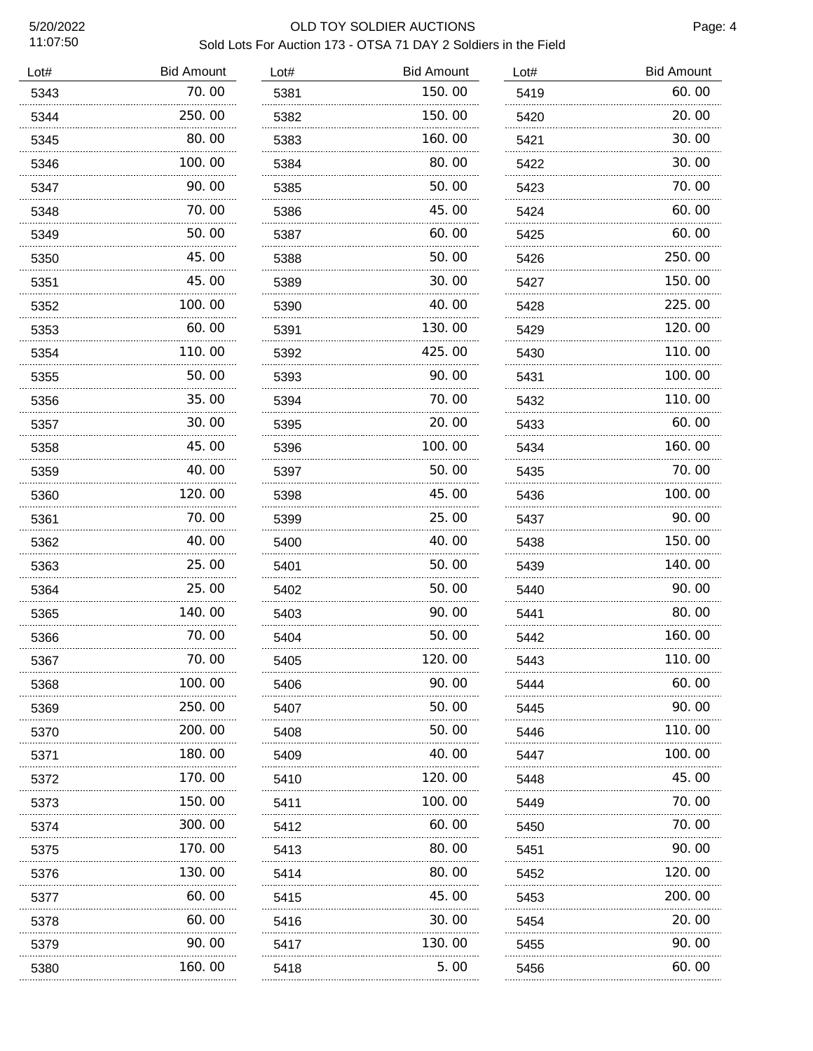| Lot# | <b>Bid Amount</b> | Lot# | <b>Bid Amount</b> | Lot# | <b>Bid Amount</b> |
|------|-------------------|------|-------------------|------|-------------------|
| 5343 | 70.00             | 5381 | 150.00            | 5419 | 60.00             |
| 5344 | 250.00            | 5382 | 150.00            | 5420 | 20.00             |
| 5345 | 80.00             | 5383 | 160.00            | 5421 | 30.00             |
| 5346 | 100.00            | 5384 | 80.00             | 5422 | 30.00             |
| 5347 | 90.00             | 5385 | 50.00             | 5423 | 70.00             |
| 5348 | 70.00             | 5386 | 45.00             | 5424 | 60.00             |
| 5349 | 50.00             | 5387 | 60.00             | 5425 | 60.00             |
| 5350 | 45.00             | 5388 | 50.00             | 5426 | 250.00            |
| 5351 | 45.00             | 5389 | 30.00             | 5427 | 150.00            |
| 5352 | 100.00            | 5390 | 40.00             | 5428 | 225.00            |
| 5353 | 60.00             | 5391 | 130.00            | 5429 | 120.00            |
| 5354 | 110.00            | 5392 | 425.00            | 5430 | 110.00            |
| 5355 | 50.00             | 5393 | 90.00             | 5431 | 100.00            |
| 5356 | 35.00             | 5394 | 70.00             | 5432 | 110.00            |
| 5357 | 30.00             | 5395 | 20.00             | 5433 | 60.00             |
| 5358 | 45.00             | 5396 | 100.00            | 5434 | 160.00            |
| 5359 | 40.00             | 5397 | 50.00             | 5435 | 70.00             |
| 5360 | 120.00            | 5398 | 45.00             | 5436 | 100.00            |
| 5361 | 70.00             | 5399 | 25.00             | 5437 | 90.00             |
| 5362 | 40.00             | 5400 | 40.00             | 5438 | 150.00            |
| 5363 | 25.00             | 5401 | 50.00             | 5439 | 140.00            |
| 5364 | 25.00             | 5402 | 50.00             | 5440 | 90.00             |
| 5365 | 140.00            | 5403 | 90.00             | 5441 | 80.00             |
| 5366 | 70.00             | 5404 | 50.00             | 5442 | 160.00            |
| 5367 | 70. 00            | 5405 | 120.00            | 5443 | 110. 00           |
| 5368 | 100.00            | 5406 | 90.00             | 5444 | 60.00             |
| 5369 | 250.00            | 5407 | 50.00             | 5445 | 90.00             |
| 5370 | 200.00            | 5408 | 50.00             | 5446 | 110.00            |
| 5371 | 180.00            | 5409 | 40.00             | 5447 | 100.00            |
| 5372 | 170.00            | 5410 | 120.00            | 5448 | 45.00             |
| 5373 | 150.00            | 5411 | 100.00            | 5449 | 70.00             |
| 5374 | 300.00            | 5412 | 60.00             | 5450 | 70.00             |
| 5375 | 170.00            | 5413 | 80.00             | 5451 | 90.00             |
| 5376 | 130.00            | 5414 | 80.00             | 5452 | 120.00            |
| 5377 | 60.00<br>.        | 5415 | 45.00<br>.        | 5453 | 200.00            |
| 5378 | 60.00             | 5416 | 30. 00            | 5454 | 20.00             |
| 5379 | 90.00             | 5417 | 130.00            | 5455 | 90.00             |
| 5380 | 160.00            | 5418 | 5.00              | 5456 | 60.00             |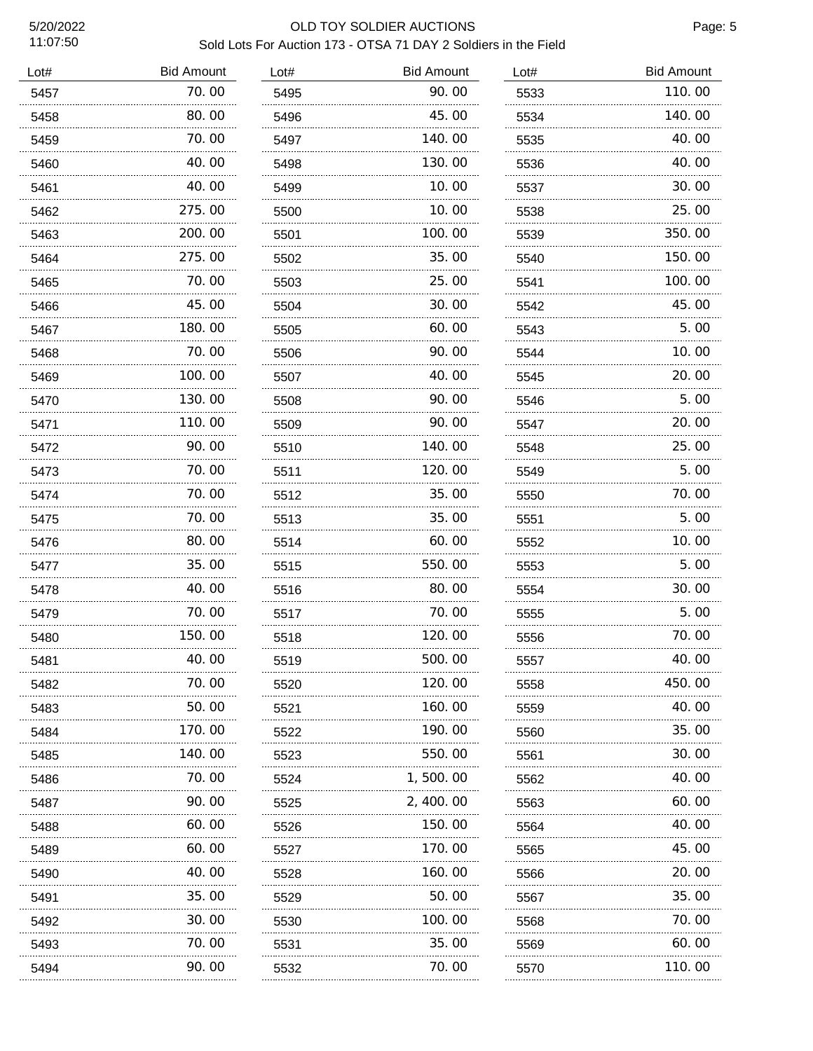| Lot# | <b>Bid Amount</b> | Lot# | <b>Bid Amount</b> | Lot# | <b>Bid Amount</b> |
|------|-------------------|------|-------------------|------|-------------------|
| 5457 | 70.00             | 5495 | 90.00             | 5533 | 110.00            |
| 5458 | 80.00             | 5496 | 45.00             | 5534 | 140.00            |
| 5459 | 70.00<br>.        | 5497 | 140.00            | 5535 | 40.00             |
| 5460 | 40.00             | 5498 | 130.00            | 5536 | 40.00             |
| 5461 | 40.00             | 5499 | 10.00             | 5537 | 30.00             |
| 5462 | 275.00            | 5500 | 10.00             | 5538 | 25.00             |
| 5463 | 200.00<br>.       | 5501 | 100.00            | 5539 | 350.00            |
| 5464 | 275.00            | 5502 | 35.00             | 5540 | 150.00            |
| 5465 | 70.00<br>.        | 5503 | 25.00             | 5541 | 100.00            |
| 5466 | 45.00             | 5504 | 30.00             | 5542 | 45.00             |
| 5467 | 180.00            | 5505 | 60.00             | 5543 | 5.00              |
| 5468 | 70.00             | 5506 | 90.00             | 5544 | 10.00             |
| 5469 | 100.00            | 5507 | 40.00             | 5545 | 20.00             |
| 5470 | 130.00            | 5508 | 90.00             | 5546 | 5.00              |
| 5471 | 110.00            | 5509 | 90.00             | 5547 | 20.00             |
| 5472 | 90.00             | 5510 | 140.00            | 5548 | 25.00             |
| 5473 | 70.00             | 5511 | 120.00            | 5549 | 5.00              |
| 5474 | 70.00             | 5512 | 35.00             | 5550 | 70.00             |
| 5475 | 70.00             | 5513 | 35.00             | 5551 | 5.00              |
| 5476 | 80.00             | 5514 | 60.00             | 5552 | 10.00             |
| 5477 | 35.00             | 5515 | 550.00            | 5553 | 5.00              |
| 5478 | 40.00             | 5516 | 80.00             | 5554 | 30.00             |
| 5479 | 70.00             | 5517 | 70.00             | 5555 | 5.00              |
| 5480 | 150.00            | 5518 | 120.00            | 5556 | 70.00             |
| 5481 | 40.00             | 5519 | 500.00            | 5557 | 40.00             |
| 5482 | 70. 00            | 5520 | 120.00            | 5558 | 450. 00           |
| 5483 | 50.00             | 5521 | 160.00            | 5559 | 40.00             |
| 5484 | 170. 00           | 5522 | 190.00            | 5560 | 35.00             |
| 5485 | 140. 00           | 5523 | 550.00            | 5561 | 30.00             |
| 5486 | 70. 00            | 5524 | 1, 500. 00        | 5562 | 40.00             |
| 5487 | 90.00             | 5525 | 2, 400, 00        | 5563 | 60.00             |
| 5488 | 60.00             | 5526 | 150.00            | 5564 | 40.00             |
| 5489 | 60.00             | 5527 | 170.00            | 5565 | 45.00             |
| 5490 | 40.00             | 5528 | 160.00            | 5566 | 20.00             |
| 5491 | 35.00             | 5529 | 50.00             | 5567 | 35.00             |
| 5492 | 30.00             | 5530 | 100.00            | 5568 | 70.00             |
| 5493 | 70.00             | 5531 | 35.00             | 5569 | 60.00             |
| 5494 | 90.00             | 5532 | 70.00             | 5570 | 110.00            |
|      |                   |      |                   |      |                   |